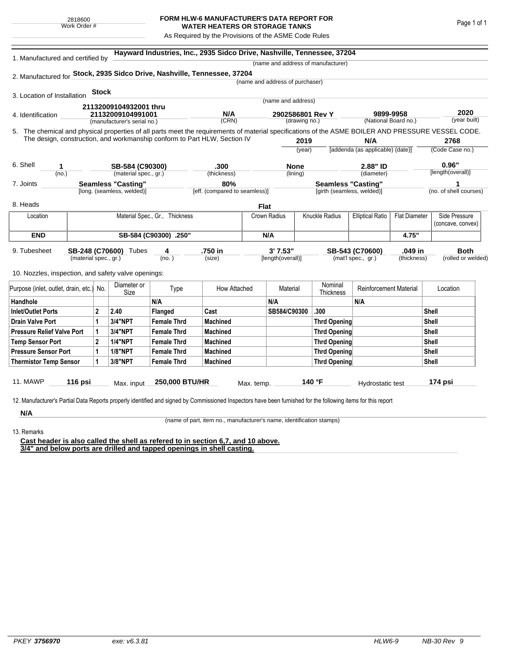## **FORM HLW-6 MANUFACTURER'S DATA REPORT FOR WATER HEATERS OR STORAGE TANKS**

As Required by the Provisions of the ASME Code Rules

|                                                                                                                                                    |                                          | 1. Manufactured and certified by                                           |                           |                    |                               |            |                                   |                           | (name and address of manufacturer)               |                                   |                      |                        |                    |
|----------------------------------------------------------------------------------------------------------------------------------------------------|------------------------------------------|----------------------------------------------------------------------------|---------------------------|--------------------|-------------------------------|------------|-----------------------------------|---------------------------|--------------------------------------------------|-----------------------------------|----------------------|------------------------|--------------------|
| 2. Manufactured for Stock, 2935 Sidco Drive, Nashville, Tennessee, 37204                                                                           |                                          |                                                                            |                           |                    |                               |            |                                   |                           |                                                  |                                   |                      |                        |                    |
|                                                                                                                                                    |                                          |                                                                            |                           |                    |                               |            | (name and address of purchaser)   |                           |                                                  |                                   |                      |                        |                    |
| 3. Location of Installation                                                                                                                        |                                          | <b>Stock</b>                                                               |                           |                    |                               |            |                                   |                           |                                                  |                                   |                      |                        |                    |
|                                                                                                                                                    |                                          |                                                                            |                           | (name and address) |                               |            |                                   |                           |                                                  |                                   |                      |                        |                    |
| 4. Identification                                                                                                                                  |                                          | 21132009104932001 thru<br>21132009104991001<br>(manufacturer's serial no.) |                           |                    | N/A                           |            | 2902586801 Rev Y<br>(drawing no.) |                           |                                                  | 9899-9958<br>(National Board no.) |                      | 2020                   |                    |
|                                                                                                                                                    |                                          |                                                                            |                           |                    | (CRN)                         |            |                                   |                           |                                                  |                                   |                      |                        | (year built)       |
| 5. The chemical and physical properties of all parts meet the requirements of material specifications of the ASME BOILER AND PRESSURE VESSEL CODE. |                                          |                                                                            |                           |                    |                               |            |                                   |                           |                                                  |                                   |                      |                        |                    |
| The design, construction, and workmanship conform to Part HLW, Section IV                                                                          |                                          |                                                                            |                           |                    |                               | 2019       |                                   | N/A                       |                                                  | 2768                              |                      |                        |                    |
|                                                                                                                                                    |                                          |                                                                            |                           |                    |                               |            |                                   | (year)                    |                                                  | [addenda (as applicable) (date)]  |                      |                        | (Code Case no.)    |
| 6. Shell<br>1                                                                                                                                      |                                          |                                                                            |                           |                    | .300                          |            |                                   |                           |                                                  | 2.88" ID                          |                      |                        | 0.96"              |
| (no.)                                                                                                                                              | SB-584 (C90300)<br>(material spec., gr.) |                                                                            |                           | (thickness)        | None<br>(lining)              |            |                                   | (diameter)                |                                                  | [length(overall)]                 |                      |                        |                    |
| 7. Joints                                                                                                                                          |                                          |                                                                            | <b>Seamless "Casting"</b> |                    | 80%                           |            |                                   | <b>Seamless "Casting"</b> |                                                  |                                   | 1                    |                        |                    |
|                                                                                                                                                    | [long. (seamless, welded)]               |                                                                            |                           |                    | [eff. (compared to seamless)] |            | [girth (seamless, welded)]        |                           |                                                  |                                   |                      | (no. of shell courses) |                    |
| 8. Heads                                                                                                                                           |                                          |                                                                            |                           |                    |                               | Flat       |                                   |                           |                                                  |                                   |                      |                        |                    |
| Location                                                                                                                                           |                                          | Material Spec., Gr., Thickness                                             |                           |                    |                               |            | Crown Radius                      |                           | <b>Knuckle Radius</b><br><b>Elliptical Ratio</b> |                                   | <b>Flat Diameter</b> |                        | Side Pressure      |
|                                                                                                                                                    |                                          |                                                                            |                           |                    |                               |            |                                   |                           |                                                  |                                   |                      |                        | (concave, convex)  |
| <b>END</b>                                                                                                                                         | SB-584 (C90300) .250"                    |                                                                            |                           |                    |                               |            | N/A                               |                           |                                                  |                                   | 4.75"                |                        |                    |
| 9. Tubesheet                                                                                                                                       |                                          |                                                                            | SB-248 (C70600) Tubes     | 4                  | .750 in                       |            | 3' 7.53"                          |                           |                                                  | SB-543 (C70600)<br>.049 in        |                      |                        | <b>Both</b>        |
|                                                                                                                                                    | (material spec., gr.)                    |                                                                            |                           | (no. )             | (size)                        |            | [length(overall)]                 |                           |                                                  | (mat'l spec., gr.)                | (thickness)          |                        | (rolled or welded) |
| 10. Nozzles, inspection, and safety valve openings:                                                                                                |                                          |                                                                            |                           |                    |                               |            |                                   |                           |                                                  |                                   |                      |                        |                    |
|                                                                                                                                                    |                                          |                                                                            | Diameter or               |                    |                               |            |                                   |                           | Nominal                                          |                                   |                      |                        |                    |
| Purpose (inlet, outlet, drain, etc.) No.                                                                                                           |                                          |                                                                            | Size                      |                    | How Attached<br>Type          |            | Material                          |                           | <b>Thickness</b>                                 | <b>Reinforcement Material</b>     |                      | Location               |                    |
| Handhole                                                                                                                                           |                                          |                                                                            |                           | N/A                |                               |            | N/A                               |                           |                                                  | N/A                               |                      |                        |                    |
| Inlet/Outlet Ports                                                                                                                                 |                                          | $\mathbf{2}$                                                               | 2.40                      | Flanged            | Cast                          |            | SB584/C90300                      |                           | .300                                             |                                   |                      | <b>Shell</b>           |                    |
| <b>Drain Valve Port</b>                                                                                                                            |                                          | 1                                                                          | 3/4"NPT                   | <b>Female Thrd</b> | <b>Machined</b>               |            |                                   |                           | <b>Thrd Opening</b>                              |                                   |                      | Shell                  |                    |
| <b>Pressure Relief Valve Port</b>                                                                                                                  |                                          | 1                                                                          | 3/4"NPT                   | <b>Female Thrd</b> | <b>Machined</b>               |            |                                   |                           | <b>Thrd Opening</b>                              |                                   | Shell                |                        |                    |
| <b>Temp Sensor Port</b>                                                                                                                            |                                          | $\mathbf{2}$                                                               | <b>1/4"NPT</b>            | <b>Female Thrd</b> | <b>Machined</b>               |            |                                   |                           | Thrd Opening                                     |                                   | <b>Shell</b>         |                        |                    |
| <b>Pressure Sensor Port</b>                                                                                                                        |                                          | 1                                                                          | <b>1/8"NPT</b>            | <b>Female Thrd</b> | <b>Machined</b>               |            |                                   |                           | Thrd Opening                                     |                                   |                      | Shell                  |                    |
| <b>Thermistor Temp Sensor</b>                                                                                                                      |                                          | 1                                                                          | 3/8"NPT                   | <b>Female Thrd</b> | <b>Machined</b>               |            |                                   |                           | <b>Thrd Opening</b>                              |                                   |                      | Shell                  |                    |
|                                                                                                                                                    |                                          |                                                                            |                           |                    |                               |            |                                   |                           |                                                  |                                   |                      |                        |                    |
| <b>11. MAWP</b>                                                                                                                                    | 116 psi                                  |                                                                            | Max. input                | 250,000 BTU/HR     |                               | Max. temp. |                                   |                           | 140 °F                                           | Hydrostatic test                  |                      |                        | 174 psi            |
|                                                                                                                                                    |                                          |                                                                            |                           |                    |                               |            |                                   |                           |                                                  |                                   |                      |                        |                    |

13. Remarks

(name of part, item no., manufacturer's name, identification stamps)

**Cast header is also called the shell as refered to in section 6,7, and 10 above. 3/4" and below ports are drilled and tapped openings in shell casting.**